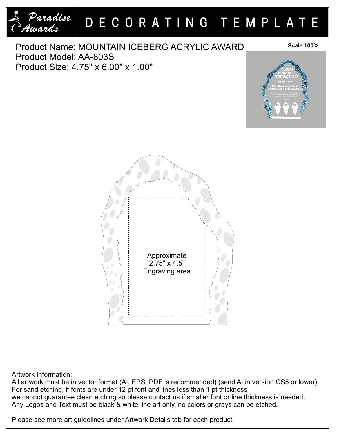

Artwork Information:

All artwork must be in vector format (AI, EPS, PDF is recommended) (send AI in version CS5 or lower) For sand etching, if fonts are under 12 pt font and lines less than 1 pt thickness we cannot guarantee clean etching so please contact us if smaller font or line thickness is needed. Any Logos and Text must be black & white line art only, no colors or grays can be etched.

Please see more art guidelines under Artwork Details tab for each product.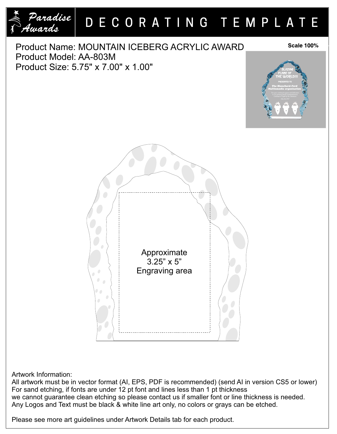

Artwork Information:

All artwork must be in vector format (AI, EPS, PDF is recommended) (send AI in version CS5 or lower) For sand etching, if fonts are under 12 pt font and lines less than 1 pt thickness we cannot guarantee clean etching so please contact us if smaller font or line thickness is needed. Any Logos and Text must be black & white line art only, no colors or grays can be etched.

Please see more art guidelines under Artwork Details tab for each product.